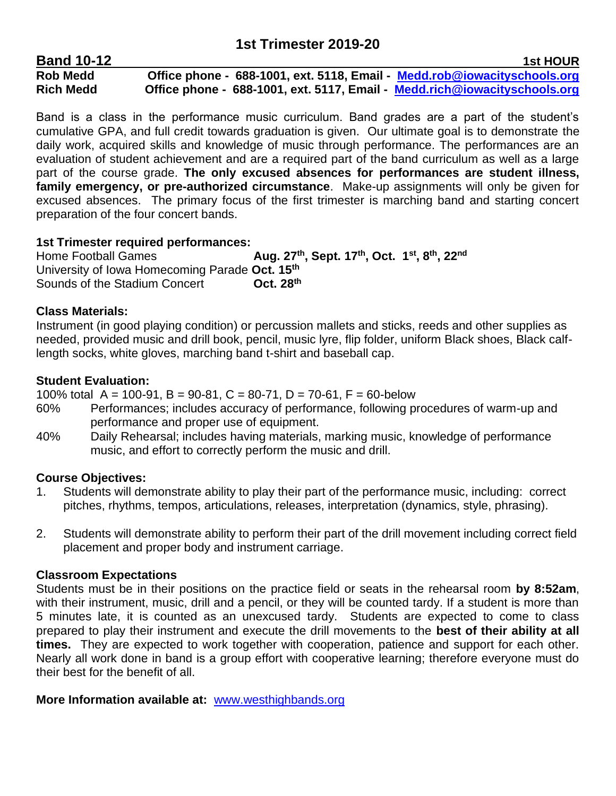| <b>Band 10-12</b> |                                                                           | <b>1st HOUR</b> |
|-------------------|---------------------------------------------------------------------------|-----------------|
| <b>Rob Medd</b>   | Office phone - 688-1001, ext. 5118, Email - Medd.rob@iowacityschools.org  |                 |
| <b>Rich Medd</b>  | Office phone - 688-1001, ext. 5117, Email - Medd.rich@iowacityschools.org |                 |

Band is a class in the performance music curriculum. Band grades are a part of the student's cumulative GPA, and full credit towards graduation is given. Our ultimate goal is to demonstrate the daily work, acquired skills and knowledge of music through performance. The performances are an evaluation of student achievement and are a required part of the band curriculum as well as a large part of the course grade. **The only excused absences for performances are student illness, family emergency, or pre-authorized circumstance**. Make-up assignments will only be given for excused absences. The primary focus of the first trimester is marching band and starting concert preparation of the four concert bands.

# **1st Trimester required performances:**

**Home Football Games , Sept. 17th , Oct. 1 st , 8 th, 22nd** University of Iowa Homecoming Parade **Oct. 15 th Sounds of the Stadium Concert th**

# **Class Materials:**

Instrument (in good playing condition) or percussion mallets and sticks, reeds and other supplies as needed, provided music and drill book, pencil, music lyre, flip folder, uniform Black shoes, Black calflength socks, white gloves, marching band t-shirt and baseball cap.

# **Student Evaluation:**

100% total  $A = 100-91$ ,  $B = 90-81$ ,  $C = 80-71$ ,  $D = 70-61$ ,  $F = 60$ -below

- 60% Performances; includes accuracy of performance, following procedures of warm-up and performance and proper use of equipment.
- 40% Daily Rehearsal; includes having materials, marking music, knowledge of performance music, and effort to correctly perform the music and drill.

# **Course Objectives:**

- 1. Students will demonstrate ability to play their part of the performance music, including: correct pitches, rhythms, tempos, articulations, releases, interpretation (dynamics, style, phrasing).
- 2. Students will demonstrate ability to perform their part of the drill movement including correct field placement and proper body and instrument carriage.

# **Classroom Expectations**

Students must be in their positions on the practice field or seats in the rehearsal room **by 8:52am**, with their instrument, music, drill and a pencil, or they will be counted tardy. If a student is more than 5 minutes late, it is counted as an unexcused tardy. Students are expected to come to class prepared to play their instrument and execute the drill movements to the **best of their ability at all times.** They are expected to work together with cooperation, patience and support for each other. Nearly all work done in band is a group effort with cooperative learning; therefore everyone must do their best for the benefit of all.

**More Information available at:** [www.westhighbands.org](http://www.westhighbands.org/)